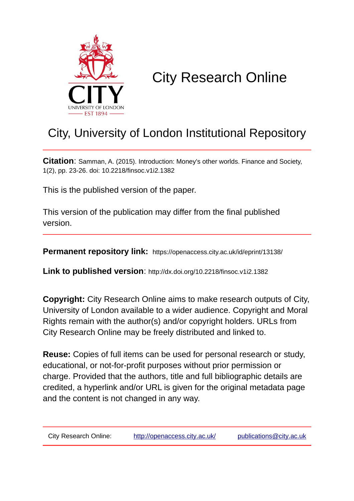

# City Research Online

## City, University of London Institutional Repository

**Citation**: Samman, A. (2015). Introduction: Money's other worlds. Finance and Society, 1(2), pp. 23-26. doi: 10.2218/finsoc.v1i2.1382

This is the published version of the paper.

This version of the publication may differ from the final published version.

**Permanent repository link:** https://openaccess.city.ac.uk/id/eprint/13138/

**Link to published version**: http://dx.doi.org/10.2218/finsoc.v1i2.1382

**Copyright:** City Research Online aims to make research outputs of City, University of London available to a wider audience. Copyright and Moral Rights remain with the author(s) and/or copyright holders. URLs from City Research Online may be freely distributed and linked to.

**Reuse:** Copies of full items can be used for personal research or study, educational, or not-for-profit purposes without prior permission or charge. Provided that the authors, title and full bibliographic details are credited, a hyperlink and/or URL is given for the original metadata page and the content is not changed in any way.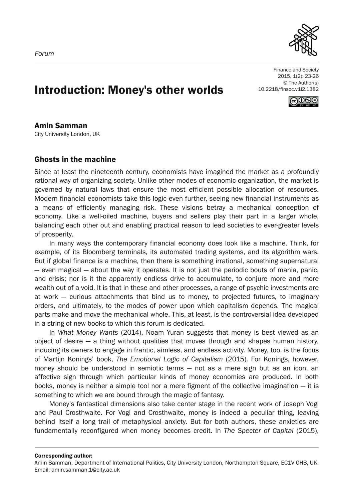

Finance and Society 2015, 1(2): 23-26 © The Author(s) 10.2218/finsoc.v1i2.1382



### Introduction: Money's other worlds

#### Amin Samman

City University London, UK

#### Ghosts in the machine

Since at least the nineteenth century, economists have imagined the market as a profoundly rational way of organizing society. Unlike other modes of economic organization, the market is governed by natural laws that ensure the most efficient possible allocation of resources. Modern financial economists take this logic even further, seeing new financial instruments as a means of efficiently managing risk. These visions betray a mechanical conception of economy. Like a well-oiled machine, buyers and sellers play their part in a larger whole, balancing each other out and enabling practical reason to lead societies to ever-greater levels of prosperity.

In many ways the contemporary financial economy does look like a machine. Think, for example, of its Bloomberg terminals, its automated trading systems, and its algorithm wars. But if global finance is a machine, then there is something irrational, something supernatural — even magical — about the way it operates. It is not just the periodic bouts of mania, panic, and crisis; nor is it the apparently endless drive to accumulate, to conjure more and more wealth out of a void. It is that in these and other processes, a range of psychic investments are at work — curious attachments that bind us to money, to projected futures, to imaginary orders, and ultimately, to the modes of power upon which capitalism depends. The magical parts make and move the mechanical whole. This, at least, is the controversial idea developed in a string of new books to which this forum is dedicated.

In *What Money Wants* (2014), Noam Yuran suggests that money is best viewed as an object of desire — a thing without qualities that moves through and shapes human history, inducing its owners to engage in frantic, aimless, and endless activity. Money, too, is the focus of Martijn Konings' book, *The Emotional Logic of Capitalism* (2015). For Konings, however, money should be understood in semiotic terms — not as a mere sign but as an icon, an affective sign through which particular kinds of money economies are produced. In both books, money is neither a simple tool nor a mere figment of the collective imagination — it is something to which we are bound through the magic of fantasy.

Money's fantastical dimensions also take center stage in the recent work of Joseph Vogl and Paul Crosthwaite. For Vogl and Crosthwaite, money is indeed a peculiar thing, leaving behind itself a long trail of metaphysical anxiety. But for both authors, these anxieties are fundamentally reconfigured when money becomes credit. In *The Specter of Capital* (2015),

Corresponding author:

Amin Samman, Department of International Politics, City University London, Northampton Square, EC1V 0HB, UK. Email: amin.samman.1@city.ac.uk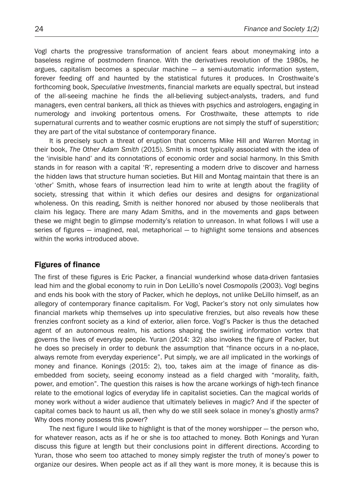Vogl charts the progressive transformation of ancient fears about moneymaking into a baseless regime of postmodern finance. With the derivatives revolution of the 1980s, he argues, capitalism becomes a specular machine — a semi-automatic information system, forever feeding off and haunted by the statistical futures it produces. In Crosthwaite's forthcoming book, *Speculative Investments*, financial markets are equally spectral, but instead of the all-seeing machine he finds the all-believing subject-analysts, traders, and fund managers, even central bankers, all thick as thieves with psychics and astrologers, engaging in numerology and invoking portentous omens. For Crosthwaite, these attempts to ride supernatural currents and to weather cosmic eruptions are not simply the stuff of superstition; they are part of the vital substance of contemporary finance.

It is precisely such a threat of eruption that concerns Mike Hill and Warren Montag in their book, *The Other Adam Smith* (2015). Smith is most typically associated with the idea of the 'invisible hand' and its connotations of economic order and social harmony. In this Smith stands in for reason with a capital 'R', representing a modern drive to discover and harness the hidden laws that structure human societies. But Hill and Montag maintain that there is an 'other' Smith, whose fears of insurrection lead him to write at length about the fragility of society, stressing that within it which defies our desires and designs for organizational wholeness. On this reading, Smith is neither honored nor abused by those neoliberals that claim his legacy. There are many Adam Smiths, and in the movements and gaps between these we might begin to glimpse modernity's relation to unreason. In what follows I will use a series of figures — imagined, real, metaphorical — to highlight some tensions and absences within the works introduced above.

#### Figures of finance

The first of these figures is Eric Packer, a financial wunderkind whose data-driven fantasies lead him and the global economy to ruin in Don LeLillo's novel *Cosmopolis* (2003). Vogl begins and ends his book with the story of Packer, which he deploys, not unlike DeLillo himself, as an allegory of contemporary finance capitalism. For Vogl, Packer's story not only simulates how financial markets whip themselves up into speculative frenzies, but also reveals how these frenzies confront society as a kind of exterior, alien force. Vogl's Packer is thus the detached agent of an autonomous realm, his actions shaping the swirling information vortex that governs the lives of everyday people. Yuran (2014: 32) also invokes the figure of Packer, but he does so precisely in order to debunk the assumption that "finance occurs in a no-place, always remote from everyday experience". Put simply, we are *all* implicated in the workings of money and finance. Konings (2015: 2), too, takes aim at the image of finance as disembedded from society, seeing economy instead as a field charged with "morality, faith, power, and emotion". The question this raises is how the arcane workings of high-tech finance relate to the emotional logics of everyday life in capitalist societies. Can the magical worlds of money work without a wider audience that ultimately believes in magic? And if the specter of capital comes back to haunt us all, then why do we still seek solace in money's ghostly arms? Why does money possess this power?

The next figure I would like to highlight is that of the money worshipper — the person who, for whatever reason, acts as if he or she is *too* attached to money. Both Konings and Yuran discuss this figure at length but their conclusions point in different directions. According to Yuran, those who seem too attached to money simply register the truth of money's power to organize our desires. When people act as if all they want is more money, it is because this is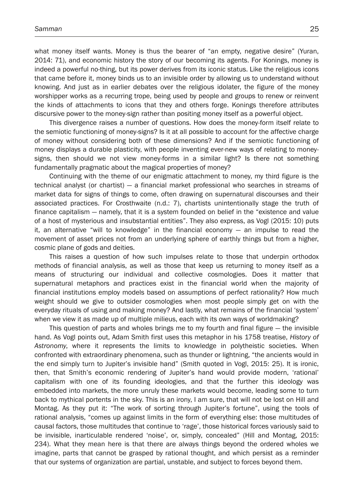what money itself wants. Money is thus the bearer of "an empty, negative desire" (Yuran, 2014: 71), and economic history the story of our becoming its agents. For Konings, money is indeed a powerful no-thing, but its power derives from its iconic status. Like the religious icons that came before it, money binds us to an invisible order by allowing us to understand without knowing. And just as in earlier debates over the religious idolater, the figure of the money worshipper works as a recurring trope, being used by people and groups to renew or reinvent the kinds of attachments to icons that they and others forge. Konings therefore attributes discursive power to the money-sign rather than positing money itself as a powerful object.

This divergence raises a number of questions. How does the money-form itself relate to the semiotic functioning of money-signs? Is it at all possible to account for the affective charge of money without considering both of these dimensions? And if the semiotic functioning of money displays a durable plasticity, with people inventing ever-new ways of relating to moneysigns, then should we not view money-forms in a similar light? Is there not something fundamentally pragmatic about the magical properties of money?

Continuing with the theme of our enigmatic attachment to money, my third figure is the technical analyst (or chartist) — a financial market professional who searches in streams of market data for signs of things to come, often drawing on supernatural discourses and their associated practices. For Crosthwaite (n.d.: 7), chartists unintentionally stage the truth of finance capitalism — namely, that it is a system founded on belief in the "existence and value of a host of mysterious and insubstantial entities". They also express, as Vogl (2015: 10) puts it, an alternative "will to knowledge" in the financial economy — an impulse to read the movement of asset prices not from an underlying sphere of earthly things but from a higher, cosmic plane of gods and deities.

This raises a question of how such impulses relate to those that underpin orthodox methods of financial analysis, as well as those that keep us returning to money itself as a means of structuring our individual and collective cosmologies. Does it matter that supernatural metaphors and practices exist in the financial world when the majority of financial institutions employ models based on assumptions of perfect rationality? How much weight should we give to outsider cosmologies when most people simply get on with the everyday rituals of using and making money? And lastly, what remains of the financial 'system' when we view it as made up of multiple milieus, each with its own ways of worldmaking?

This question of parts and wholes brings me to my fourth and final figure — the invisible hand. As Vogl points out, Adam Smith first uses this metaphor in his 1758 treatise, *History of Astronomy*, where it represents the limits to knowledge in polytheistic societies. When confronted with extraordinary phenomena, such as thunder or lightning, "the ancients would in the end simply turn to Jupiter's invisible hand" (Smith quoted in Vogl, 2015: 25). It is ironic, then, that Smith's economic rendering of Jupiter's hand would provide modern, 'rational' capitalism with one of its founding ideologies, and that the further this ideology was embedded into markets, the more unruly these markets would become, leading some to turn back to mythical portents in the sky. This is an irony, I am sure, that will not be lost on Hill and Montag. As they put it: "The work of sorting through Jupiter's fortune", using the tools of rational analysis, "comes up against limits in the form of everything else: those multitudes of causal factors, those multitudes that continue to 'rage', those historical forces variously said to be invisible, inarticulable rendered 'noise', or, simply, concealed" (Hill and Montag, 2015: 234). What they mean here is that there are always things beyond the ordered wholes we imagine, parts that cannot be grasped by rational thought, and which persist as a reminder that our systems of organization are partial, unstable, and subject to forces beyond them.